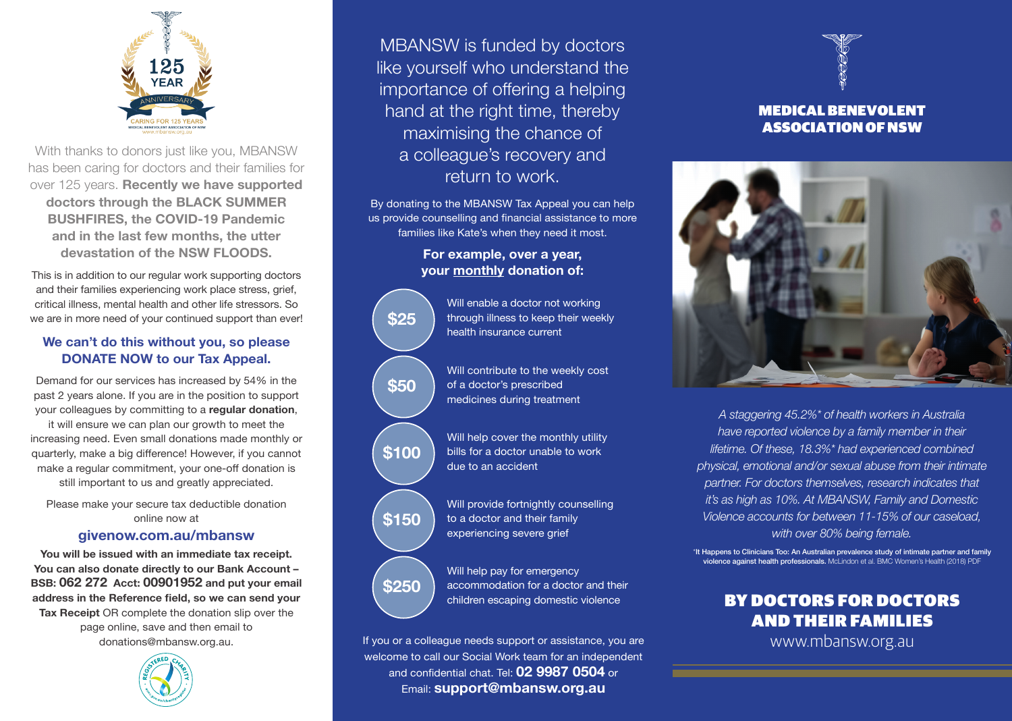

With thanks to donors just like you, MBANSW has been caring for doctors and their families for over 125 years. **Recently we have supported doctors through the BLACK SUMMER BUSHFIRES, the COVID-19 Pandemic and in the last few months, the utter devastation of the NSW FLOODS.**

This is in addition to our regular work supporting doctors and their families experiencing work place stress, grief, critical illness, mental health and other life stressors. So we are in more need of your continued support than ever!

### **We can't do this without you, so please DONATE NOW to our Tax Appeal.**

Demand for our services has increased by 54% in the past 2 years alone. If you are in the position to support your colleagues by committing to a **regular donation**, it will ensure we can plan our growth to meet the increasing need. Even small donations made monthly or quarterly, make a big difference! However, if you cannot make a regular commitment, your one-off donation is still important to us and greatly appreciated.

Please make your secure tax deductible donation online now at

### **[givenow.com.au/mbansw](http://givenow.com.au/mbansw)**

**You will be issued with an immediate tax receipt. You can also donate directly to our Bank Account – BSB: 062 272 Acct: 00901952 and put your email address in the Reference field, so we can send your Tax Receipt** OR complete the donation slip over the page online, save and then email to donations@mbansw.org.au.



MBANSW is funded by doctors like yourself who understand the importance of offering a helping hand at the right time, thereby maximising the chance of a colleague's recovery and return to work.

By donating to the MBANSW Tax Appeal you can help us provide counselling and financial assistance to more families like Kate's when they need it most.

## **For example, over a year, your monthly donation of:**



Will enable a doctor not working through illness to keep their weekly health insurance current

Will contribute to the weekly cost of a doctor's prescribed medicines during treatment

Will help cover the monthly utility bills for a doctor unable to work due to an accident

Will provide fortnightly counselling to a doctor and their family experiencing severe grief

Will help pay for emergency accommodation for a doctor and their children escaping domestic violence

If you or a colleague needs support or assistance, you are welcome to call our Social Work team for an independent and confidential chat. Tel: **02 9987 0504** or Email: **support@mbansw.org.au**

# MEDICAL BENEVOLENT ASSOCIATION OF NSW



*A staggering 45.2%\* of health workers in Australia have reported violence by a family member in their lifetime. Of these, 18.3%\* had experienced combined physical, emotional and/or sexual abuse from their intimate partner. For doctors themselves, research indicates that it's as high as 10%. At MBANSW, Family and Domestic Violence accounts for between 11-15% of our caseload, with over 80% being female.*

\*It Happens to Clinicians Too: An Australian prevalence study of intimate partner and family violence against health professionals. McLindon et al. BMC Women's Health (2018) PDF

## BY DOCTORS FOR DOCTORS AND THEIR FAMILIES

www.mbansw.org.au